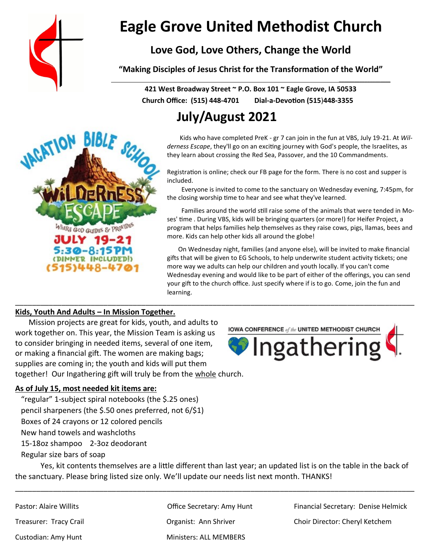

# **Eagle Grove United Methodist Church**

## **Love God, Love Others, Change the World**

**"Making Disciples of Jesus Christ for the Transformation of the World"**

**421 West Broadway Street ~ P.O. Box 101 ~ Eagle Grove, IA 50533 Church Office: (515) 448-4701 Dial-a-Devotion (515**)**448-3355**

# **July/August 2021**

Kids who have completed PreK - gr 7 can join in the fun at VBS, July 19-21. At *Wilderness Escape*, they'll go on an exciting journey with God's people, the Israelites, as they learn about crossing the Red Sea, Passover, and the 10 Commandments.

**\_\_\_\_\_\_\_\_\_\_\_\_\_\_\_\_\_\_\_\_** 

Registration is online; check our FB page for the form. There is no cost and supper is included.

Everyone is invited to come to the sanctuary on Wednesday evening, 7:45pm, for the closing worship time to hear and see what they've learned.

Families around the world still raise some of the animals that were tended in Moses' time . During VBS, kids will be bringing quarters (or more!) for Heifer Project, a program that helps families help themselves as they raise cows, pigs, llamas, bees and more. Kids can help other kids all around the globe!

On Wednesday night, families (and anyone else), will be invited to make financial gifts that will be given to EG Schools, to help underwrite student activity tickets; one more way we adults can help our children and youth locally. If you can't come Wednesday evening and would like to be part of either of the offerings, you can send your gift to the church office. Just specify where if is to go. Come, join the fun and

#### **Kids, Youth And Adults – In Mission Together.**

515)448-4701

 Mission projects are great for kids, youth, and adults to work together on. This year, the Mission Team is asking us to consider bringing in needed items, several of one item, or making a financial gift. The women are making bags; supplies are coming in; the youth and kids will put them together! Our Ingathering gift will truly be from the whole church.

#### **As of July 15, most needed kit items are:**

 "regular" 1-subject spiral notebooks (the \$.25 ones) pencil sharpeners (the \$.50 ones preferred, not 6/\$1) Boxes of 24 crayons or 12 colored pencils New hand towels and washcloths 15-18oz shampoo 2-3oz deodorant Regular size bars of soap

Yes, kit contents themselves are a little different than last year; an updated list is on the table in the back of the sanctuary. Please bring listed size only. We'll update our needs list next month. THANKS!

\_\_\_\_\_\_\_\_\_\_\_\_\_\_\_\_\_\_\_\_\_\_\_\_\_\_\_\_\_\_\_\_\_\_\_\_\_\_\_\_\_\_\_\_\_\_\_\_\_\_\_\_\_\_\_\_\_\_\_\_\_\_\_\_\_\_\_\_\_\_\_\_\_\_\_\_\_\_\_\_\_\_\_\_\_\_\_\_\_\_\_\_\_\_\_

Pastor: Alaire Willits **Communist Communist Communist Communist** Communist Communist Provide Benedick Communist P

Treasurer: Tracy Crail Organist: Ann Shriver Choir Director: Cheryl Ketchem

 $19 - 2$ 

IOWA CONFERENCE of the UNITED METHODIST CHURCH Ingathering

learning. \_\_\_\_\_\_\_\_\_\_\_\_\_\_\_\_\_\_\_\_\_\_\_\_\_\_\_\_\_\_\_\_\_\_\_\_\_\_\_\_\_\_\_\_\_\_\_\_\_\_\_\_\_\_\_\_\_\_\_\_\_\_\_\_\_\_\_\_\_\_\_\_\_\_\_\_\_\_\_\_\_\_\_\_\_\_\_\_\_\_\_\_\_\_\_



Custodian: Amy Hunt Ministers: ALL MEMBERS

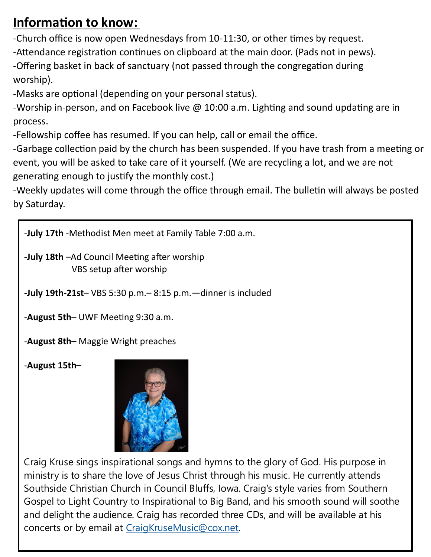# **Information to know:**

-Church office is now open Wednesdays from 10-11:30, or other times by request.

-Attendance registration continues on clipboard at the main door. (Pads not in pews).

-Offering basket in back of sanctuary (not passed through the congregation during worship).

-Masks are optional (depending on your personal status).

-Worship in-person, and on Facebook live @ 10:00 a.m. Lighting and sound updating are in process.

-Fellowship coffee has resumed. If you can help, call or email the office.

-Garbage collection paid by the church has been suspended. If you have trash from a meeting or event, you will be asked to take care of it yourself. (We are recycling a lot, and we are not generating enough to justify the monthly cost.)

-Weekly updates will come through the office through email. The bulletin will always be posted by Saturday.

-**July 17th** -Methodist Men meet at Family Table 7:00 a.m.

-**July 18th** –Ad Council Meeting after worship VBS setup after worship

-**July 19th-21st**– VBS 5:30 p.m.– 8:15 p.m.—dinner is included

-**August 5th**– UWF Meeting 9:30 a.m.

-**August 8th**– Maggie Wright preaches

-**August 15th–**



Craig Kruse sings inspirational songs and hymns to the glory of God. His purpose in ministry is to share the love of Jesus Christ through his music. He currently attends Southside Christian Church in Council Bluffs, Iowa. Craig's style varies from Southern Gospel to Light Country to Inspirational to Big Band, and his smooth sound will soothe and delight the audience. Craig has recorded three CDs, and will be available at his concerts or by email at [CraigKruseMusic@cox.net.](mailto:CraigKruseMusic@cox.net)